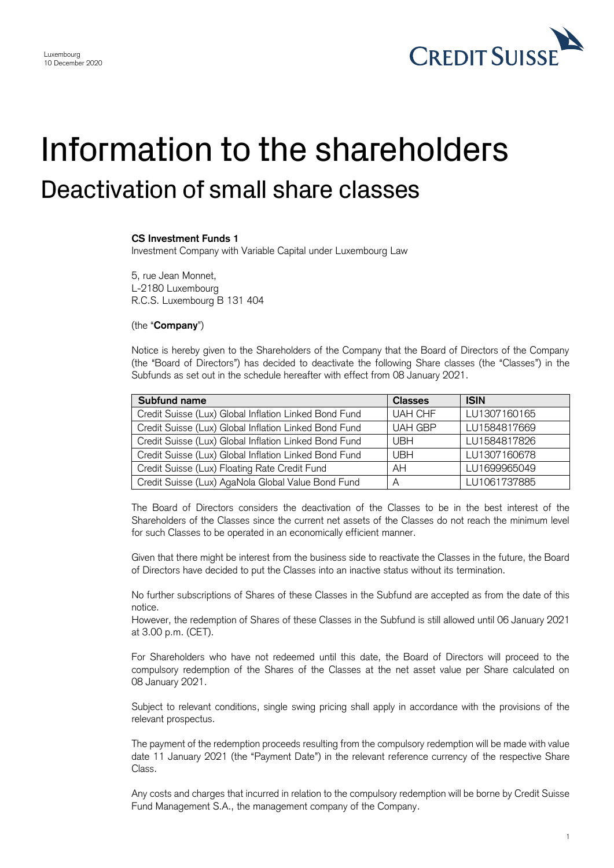

## Information to the shareholders Deactivation of small share classes

## **CS Investment Funds 1**

Investment Company with Variable Capital under Luxembourg Law

5, rue Jean Monnet, L-2180 Luxembourg R.C.S. Luxembourg B 131 404

(the "**Company**")

 Notice is hereby given to the Shareholders of the Company that the Board of Directors of the Company (the "Board of Directors") has decided to deactivate the following Share classes (the "Classes") in the Subfunds as set out in the schedule hereafter with effect from 08 January 2021.

| Subfund name                                          | <b>Classes</b> | <b>ISIN</b>  |
|-------------------------------------------------------|----------------|--------------|
| Credit Suisse (Lux) Global Inflation Linked Bond Fund | <b>UAH CHF</b> | LU1307160165 |
| Credit Suisse (Lux) Global Inflation Linked Bond Fund | <b>UAH GBP</b> | LU1584817669 |
| Credit Suisse (Lux) Global Inflation Linked Bond Fund | <b>UBH</b>     | LU1584817826 |
| Credit Suisse (Lux) Global Inflation Linked Bond Fund | <b>UBH</b>     | LU1307160678 |
| Credit Suisse (Lux) Floating Rate Credit Fund         | AH             | LU1699965049 |
| Credit Suisse (Lux) AgaNola Global Value Bond Fund    | A              | LU1061737885 |

 The Board of Directors considers the deactivation of the Classes to be in the best interest of the Shareholders of the Classes since the current net assets of the Classes do not reach the minimum level for such Classes to be operated in an economically efficient manner.

 Given that there might be interest from the business side to reactivate the Classes in the future, the Board of Directors have decided to put the Classes into an inactive status without its termination.

 No further subscriptions of Shares of these Classes in the Subfund are accepted as from the date of this notice.

 However, the redemption of Shares of these Classes in the Subfund is still allowed until 06 January 2021 at 3.00 p.m. (CET).

 For Shareholders who have not redeemed until this date, the Board of Directors will proceed to the compulsory redemption of the Shares of the Classes at the net asset value per Share calculated on 08 January 2021.

 Subject to relevant conditions, single swing pricing shall apply in accordance with the provisions of the relevant prospectus.

 The payment of the redemption proceeds resulting from the compulsory redemption will be made with value date 11 January 2021 (the "Payment Date") in the relevant reference currency of the respective Share Class.

 Any costs and charges that incurred in relation to the compulsory redemption will be borne by Credit Suisse Fund Management S.A., the management company of the Company.